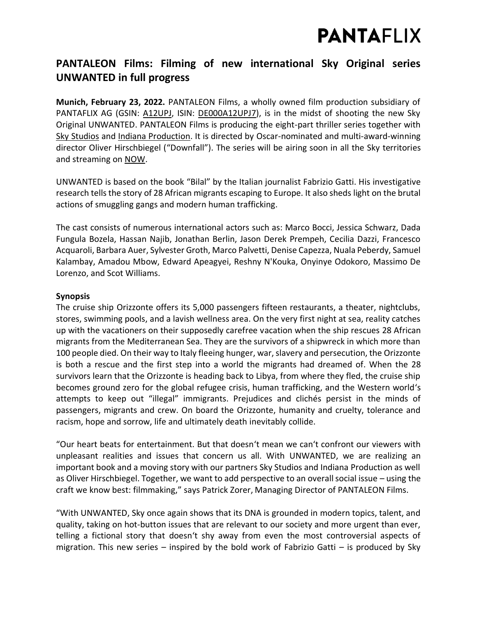## **PANTAFLIX**

### **PANTALEON Films: Filming of new international Sky Original series UNWANTED in full progress**

**Munich, February 23, 2022.** PANTALEON Films, a wholly owned film production subsidiary of PANTAFLIX AG (GSIN: [A12UPJ,](https://www.boerse-frankfurt.de/aktie/pantaflix-ag) ISIN: [DE000A12UPJ7\)](https://www.boerse-frankfurt.de/equity/pantaflix-ag), is in the midst of shooting the new Sky Original UNWANTED. PANTALEON Films is producing the eight-part thriller series together with [Sky Studios](https://www.skygroup.sky/skystudios) and [Indiana Production.](https://www.indianaproduction.com/en/) It is directed by Oscar-nominated and multi-award-winning director Oliver Hirschbiegel ("Downfall"). The series will be airing soon in all the Sky territories and streaming on [NOW.](https://www.nowtv.com/)

UNWANTED is based on the book "Bilal" by the Italian journalist Fabrizio Gatti. His investigative research tells the story of 28 African migrants escaping to Europe. It also sheds light on the brutal actions of smuggling gangs and modern human trafficking.

The cast consists of numerous international actors such as: Marco Bocci, Jessica Schwarz, Dada Fungula Bozela, Hassan Najib, Jonathan Berlin, Jason Derek Prempeh, Cecilia Dazzi, Francesco Acquaroli, Barbara Auer, Sylvester Groth, Marco Palvetti, Denise Capezza, Nuala Peberdy, Samuel Kalambay, Amadou Mbow, Edward Apeagyei, Reshny N'Kouka, Onyinye Odokoro, Massimo De Lorenzo, and Scot Williams.

### **Synopsis**

The cruise ship Orizzonte offers its 5,000 passengers fifteen restaurants, a theater, nightclubs, stores, swimming pools, and a lavish wellness area. On the very first night at sea, reality catches up with the vacationers on their supposedly carefree vacation when the ship rescues 28 African migrants from the Mediterranean Sea. They are the survivors of a shipwreck in which more than 100 people died. On their way to Italy fleeing hunger, war, slavery and persecution, the Orizzonte is both a rescue and the first step into a world the migrants had dreamed of. When the 28 survivors learn that the Orizzonte is heading back to Libya, from where they fled, the cruise ship becomes ground zero for the global refugee crisis, human trafficking, and the Western world's attempts to keep out "illegal" immigrants. Prejudices and clichés persist in the minds of passengers, migrants and crew. On board the Orizzonte, humanity and cruelty, tolerance and racism, hope and sorrow, life and ultimately death inevitably collide.

"Our heart beats for entertainment. But that doesn't mean we can't confront our viewers with unpleasant realities and issues that concern us all. With UNWANTED, we are realizing an important book and a moving story with our partners Sky Studios and Indiana Production as well as Oliver Hirschbiegel. Together, we want to add perspective to an overall social issue – using the craft we know best: filmmaking," says Patrick Zorer, Managing Director of PANTALEON Films.

"With UNWANTED, Sky once again shows that its DNA is grounded in modern topics, talent, and quality, taking on hot-button issues that are relevant to our society and more urgent than ever, telling a fictional story that doesn't shy away from even the most controversial aspects of migration. This new series – inspired by the bold work of Fabrizio Gatti – is produced by Sky